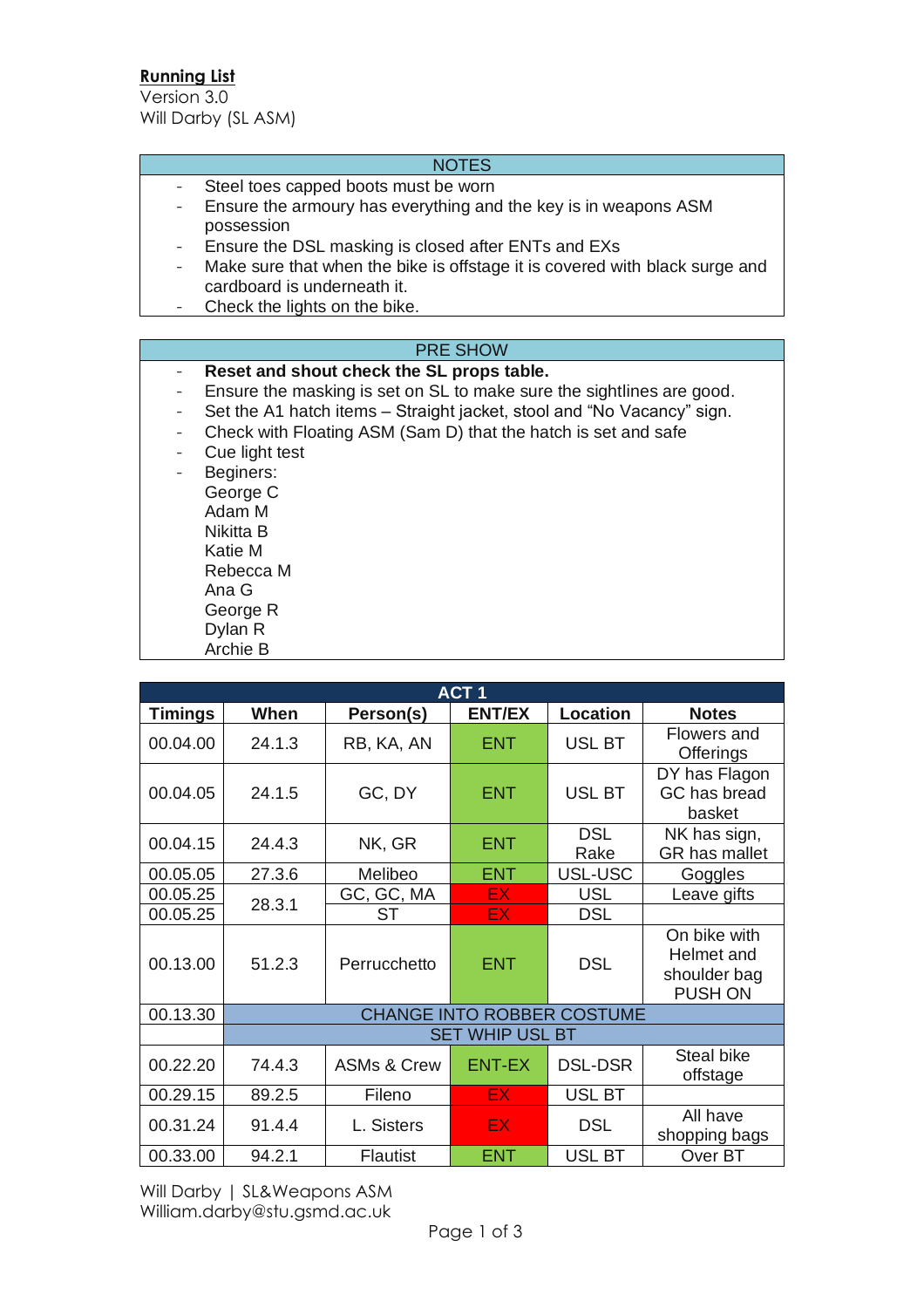# **Running List**

Version 3.0 Will Darby (SL ASM)

## **NOTES**

- Steel toes capped boots must be worn
- Ensure the armoury has everything and the key is in weapons ASM possession
- Ensure the DSL masking is closed after ENTs and EXs
- Make sure that when the bike is offstage it is covered with black surge and cardboard is underneath it.
- Check the lights on the bike.

## PRE SHOW

- **Reset and shout check the SL props table.**
- Ensure the masking is set on SL to make sure the sightlines are good.
- Set the A1 hatch items Straight jacket, stool and "No Vacancy" sign.
- Check with Floating ASM (Sam D) that the hatch is set and safe
- Cue light test
- Beginers: George C Adam M Nikitta B Katie M Rebecca M Ana G George R Dylan R Archie B

| ACT <sub>1</sub> |                                   |                        |               |                    |                                                       |  |
|------------------|-----------------------------------|------------------------|---------------|--------------------|-------------------------------------------------------|--|
| <b>Timings</b>   | When                              | Person(s)              | <b>ENT/EX</b> | <b>Location</b>    | <b>Notes</b>                                          |  |
| 00.04.00         | 24.1.3                            | RB, KA, AN             | <b>ENT</b>    | <b>USL BT</b>      | <b>Flowers and</b><br><b>Offerings</b>                |  |
| 00.04.05         | 24.1.5                            | GC, DY                 | <b>ENT</b>    | USL BT             | DY has Flagon<br>GC has bread<br>basket               |  |
| 00.04.15         | 24.4.3                            | NK, GR                 | <b>ENT</b>    | <b>DSL</b><br>Rake | NK has sign,<br>GR has mallet                         |  |
| 00.05.05         | 27.3.6                            | Melibeo                | <b>ENT</b>    | USL-USC            | Goggles                                               |  |
| 00.05.25         | 28.3.1                            | GC, GC, MA             | EX.           | <b>USL</b>         | Leave gifts                                           |  |
| 00.05.25         |                                   | ST                     | EX.           | <b>DSL</b>         |                                                       |  |
| 00.13.00         | 51.2.3                            | Perrucchetto           | <b>ENT</b>    | <b>DSL</b>         | On bike with<br>Helmet and<br>shoulder bag<br>PUSH ON |  |
| 00.13.30         | <b>CHANGE INTO ROBBER COSTUME</b> |                        |               |                    |                                                       |  |
|                  | <b>SET WHIP USL BT</b>            |                        |               |                    |                                                       |  |
| 00.22.20         | 74.4.3                            | <b>ASMs &amp; Crew</b> | <b>ENT-EX</b> | <b>DSL-DSR</b>     | Steal bike<br>offstage                                |  |
| 00.29.15         | 89.2.5                            | Fileno                 | EX.           | <b>USL BT</b>      |                                                       |  |
| 00.31.24         | 91.4.4                            | L. Sisters             | <b>EX</b>     | <b>DSL</b>         | All have<br>shopping bags                             |  |
| 00.33.00         | 94.2.1                            | <b>Flautist</b>        | <b>ENT</b>    | USL BT             | Over BT                                               |  |

Will Darby | SL&Weapons ASM William.darby@stu.gsmd.ac.uk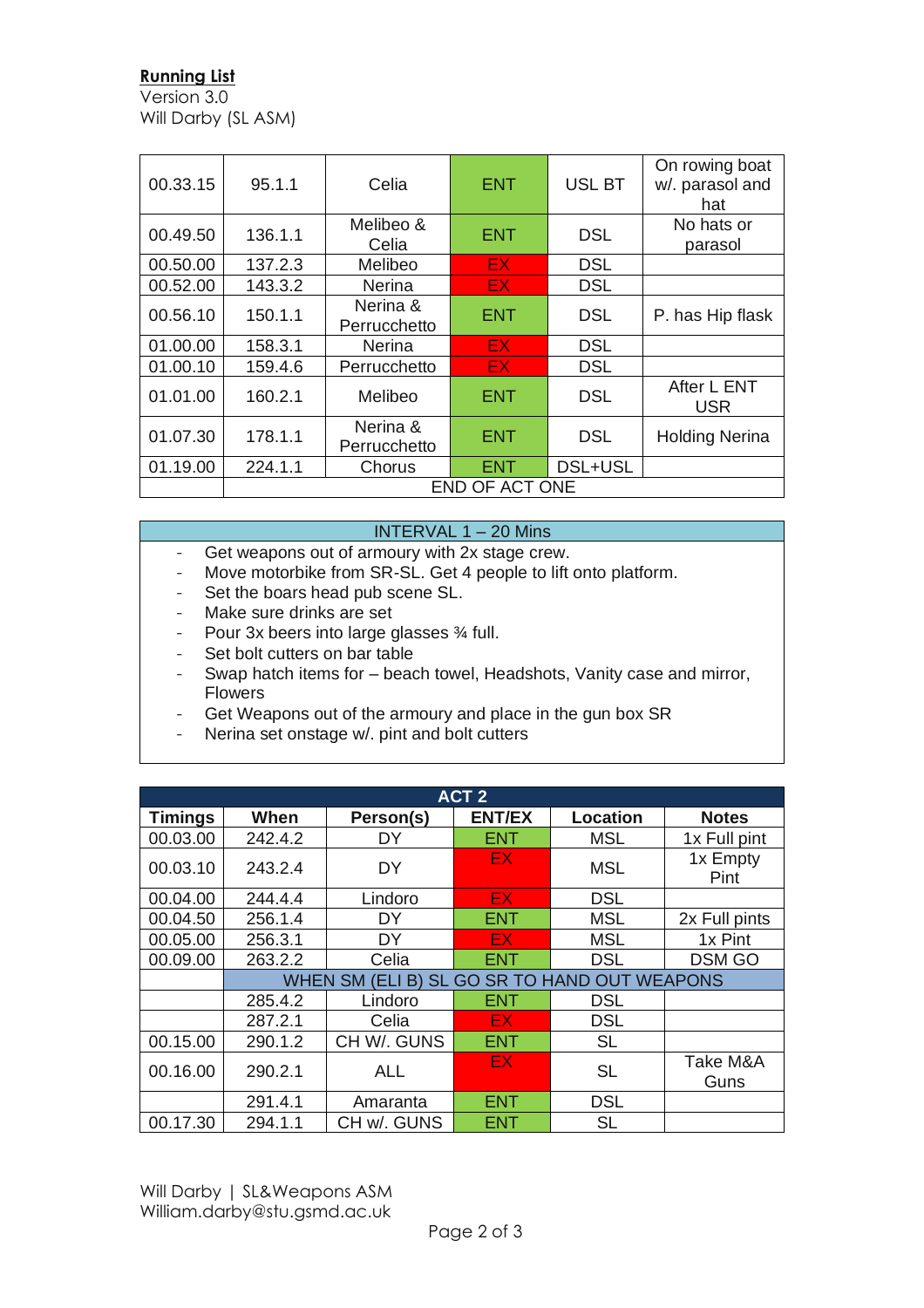## **Running List**

Version 3.0 Will Darby (SL ASM)

| 00.33.15 | 95.1.1         | Celia                    | <b>ENT</b> | <b>USL BT</b> | On rowing boat<br>w/. parasol and<br>hat |
|----------|----------------|--------------------------|------------|---------------|------------------------------------------|
| 00.49.50 | 136.1.1        | Melibeo &<br>Celia       | <b>ENT</b> | <b>DSL</b>    | No hats or<br>parasol                    |
| 00.50.00 | 137.2.3        | Melibeo                  | EX.        | <b>DSL</b>    |                                          |
| 00.52.00 | 143.3.2        | Nerina                   | EX.        | <b>DSL</b>    |                                          |
| 00.56.10 | 150.1.1        | Nerina &<br>Perrucchetto | <b>ENT</b> | <b>DSL</b>    | P. has Hip flask                         |
| 01.00.00 | 158.3.1        | <b>Nerina</b>            | EX.        | <b>DSL</b>    |                                          |
| 01.00.10 | 159.4.6        | Perrucchetto             | EX.        | <b>DSL</b>    |                                          |
| 01.01.00 | 160.2.1        | Melibeo                  | <b>ENT</b> | <b>DSL</b>    | After L ENT<br><b>USR</b>                |
| 01.07.30 | 178.1.1        | Nerina &<br>Perrucchetto | <b>ENT</b> | <b>DSL</b>    | <b>Holding Nerina</b>                    |
| 01.19.00 | 224.1.1        | Chorus                   | ENT        | DSL+USL       |                                          |
|          | END OF ACT ONE |                          |            |               |                                          |

## INTERVAL 1 – 20 Mins

- Get weapons out of armoury with 2x stage crew.<br>- Move motorbike from SR-SL Get 4 neonle to lift
- Move motorbike from SR-SL. Get 4 people to lift onto platform.
- Set the boars head pub scene SL.
- Make sure drinks are set
- Pour 3x beers into large glasses 34 full.
- Set bolt cutters on bar table
- Swap hatch items for beach towel, Headshots, Vanity case and mirror, Flowers
- Get Weapons out of the armoury and place in the gun box SR
- Nerina set onstage w/. pint and bolt cutters

| ACT <sub>2</sub> |                                              |             |               |                 |                  |  |
|------------------|----------------------------------------------|-------------|---------------|-----------------|------------------|--|
| <b>Timings</b>   | When                                         | Person(s)   | <b>ENT/EX</b> | <b>Location</b> | <b>Notes</b>     |  |
| 00.03.00         | 242.4.2                                      | DY          | <b>ENT</b>    | MSL             | 1x Full pint     |  |
| 00.03.10         | 243.2.4                                      | DY          | EX.           | <b>MSL</b>      | 1x Empty<br>Pint |  |
| 00.04.00         | 244.4.4                                      | Lindoro     | EX.           | <b>DSL</b>      |                  |  |
| 00.04.50         | 256.1.4                                      | DY          | <b>ENT</b>    | <b>MSL</b>      | 2x Full pints    |  |
| 00.05.00         | 256.3.1                                      | DY          | <b>EX</b>     | <b>MSL</b>      | 1x Pint          |  |
| 00.09.00         | 263.2.2                                      | Celia       | <b>ENT</b>    | <b>DSL</b>      | <b>DSM GO</b>    |  |
|                  | WHEN SM (ELI B) SL GO SR TO HAND OUT WEAPONS |             |               |                 |                  |  |
|                  | 285.4.2                                      | Lindoro     | <b>ENT</b>    | <b>DSL</b>      |                  |  |
|                  | 287.2.1                                      | Celia       | EX.           | <b>DSL</b>      |                  |  |
| 00.15.00         | 290.1.2                                      | CH W/. GUNS | <b>ENT</b>    | <b>SL</b>       |                  |  |
| 00.16.00         | 290.2.1                                      | <b>ALL</b>  | EX.           | <b>SL</b>       | Take M&A<br>Guns |  |
|                  | 291.4.1                                      | Amaranta    | <b>ENT</b>    | <b>DSL</b>      |                  |  |
| 00.17.30         | 294.1.1                                      | CH w/. GUNS | ENT           | <b>SL</b>       |                  |  |